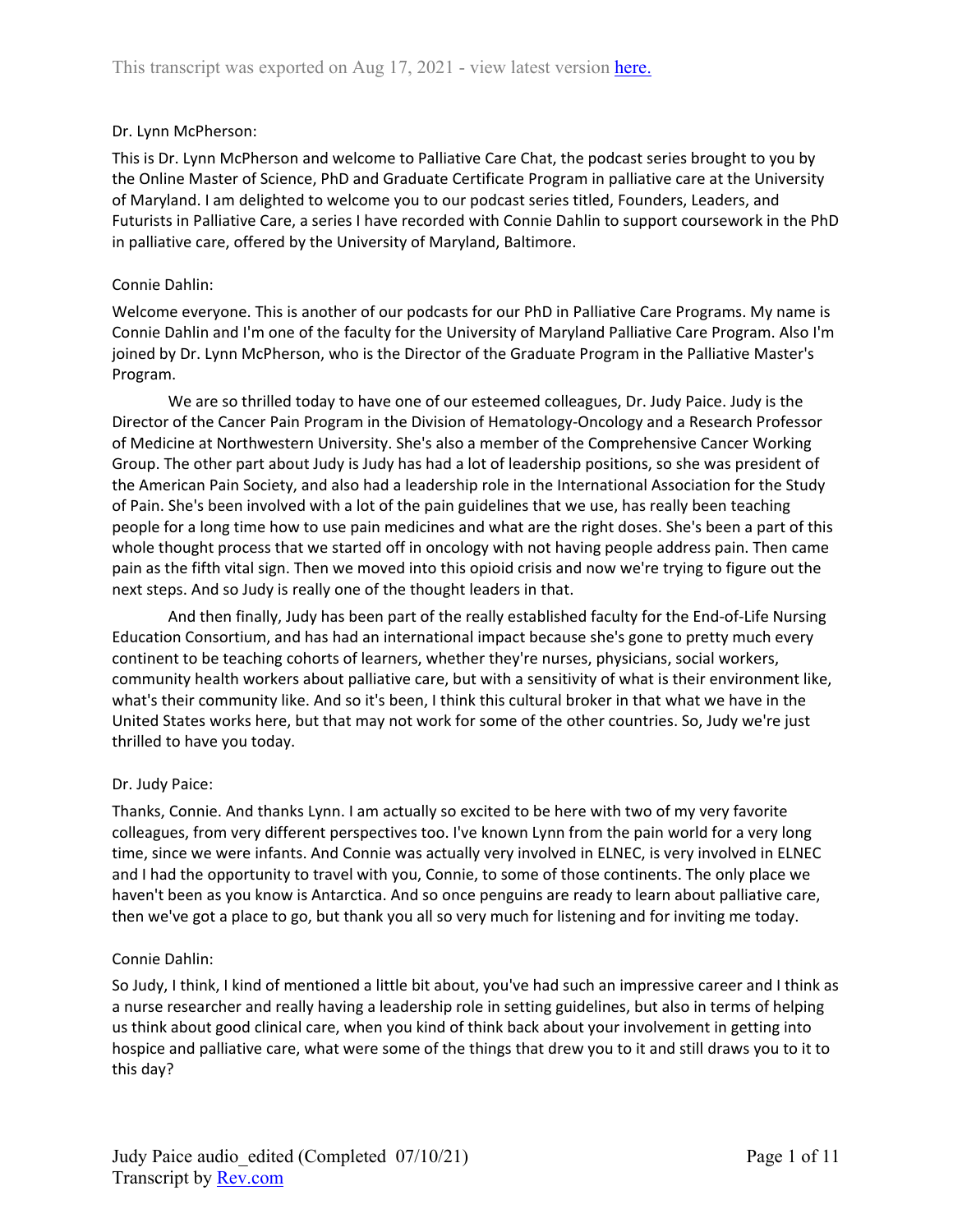#### Dr. Lynn McPherson:

This is Dr. Lynn McPherson and welcome to Palliative Care Chat, the podcast series brought to you by the Online Master of Science, PhD and Graduate Certificate Program in palliative care at the University of Maryland. I am delighted to welcome you to our podcast series titled, Founders, Leaders, and Futurists in Palliative Care, a series I have recorded with Connie Dahlin to support coursework in the PhD in palliative care, offered by the University of Maryland, Baltimore.

#### Connie Dahlin:

Welcome everyone. This is another of our podcasts for our PhD in Palliative Care Programs. My name is Connie Dahlin and I'm one of the faculty for the University of Maryland Palliative Care Program. Also I'm joined by Dr. Lynn McPherson, who is the Director of the Graduate Program in the Palliative Master's Program.

We are so thrilled today to have one of our esteemed colleagues, Dr. Judy Paice. Judy is the Director of the Cancer Pain Program in the Division of Hematology-Oncology and a Research Professor of Medicine at Northwestern University. She's also a member of the Comprehensive Cancer Working Group. The other part about Judy is Judy has had a lot of leadership positions, so she was president of the American Pain Society, and also had a leadership role in the International Association for the Study of Pain. She's been involved with a lot of the pain guidelines that we use, has really been teaching people for a long time how to use pain medicines and what are the right doses. She's been a part of this whole thought process that we started off in oncology with not having people address pain. Then came pain as the fifth vital sign. Then we moved into this opioid crisis and now we're trying to figure out the next steps. And so Judy is really one of the thought leaders in that.

And then finally, Judy has been part of the really established faculty for the End-of-Life Nursing Education Consortium, and has had an international impact because she's gone to pretty much every continent to be teaching cohorts of learners, whether they're nurses, physicians, social workers, community health workers about palliative care, but with a sensitivity of what is their environment like, what's their community like. And so it's been, I think this cultural broker in that what we have in the United States works here, but that may not work for some of the other countries. So, Judy we're just thrilled to have you today.

#### Dr. Judy Paice:

Thanks, Connie. And thanks Lynn. I am actually so excited to be here with two of my very favorite colleagues, from very different perspectives too. I've known Lynn from the pain world for a very long time, since we were infants. And Connie was actually very involved in ELNEC, is very involved in ELNEC and I had the opportunity to travel with you, Connie, to some of those continents. The only place we haven't been as you know is Antarctica. And so once penguins are ready to learn about palliative care, then we've got a place to go, but thank you all so very much for listening and for inviting me today.

## Connie Dahlin:

So Judy, I think, I kind of mentioned a little bit about, you've had such an impressive career and I think as a nurse researcher and really having a leadership role in setting guidelines, but also in terms of helping us think about good clinical care, when you kind of think back about your involvement in getting into hospice and palliative care, what were some of the things that drew you to it and still draws you to it to this day?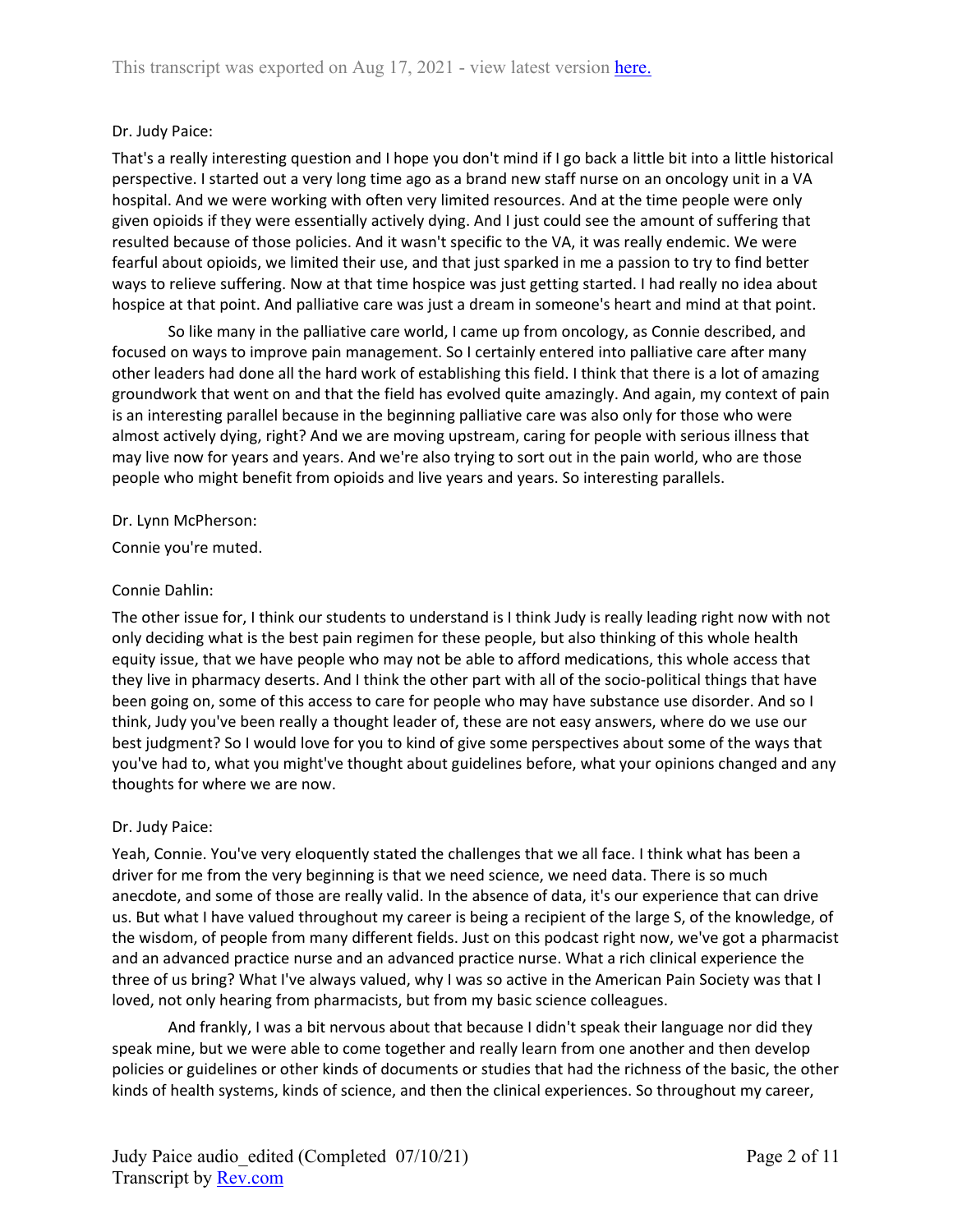## Dr. Judy Paice:

That's a really interesting question and I hope you don't mind if I go back a little bit into a little historical perspective. I started out a very long time ago as a brand new staff nurse on an oncology unit in a VA hospital. And we were working with often very limited resources. And at the time people were only given opioids if they were essentially actively dying. And I just could see the amount of suffering that resulted because of those policies. And it wasn't specific to the VA, it was really endemic. We were fearful about opioids, we limited their use, and that just sparked in me a passion to try to find better ways to relieve suffering. Now at that time hospice was just getting started. I had really no idea about hospice at that point. And palliative care was just a dream in someone's heart and mind at that point.

So like many in the palliative care world, I came up from oncology, as Connie described, and focused on ways to improve pain management. So I certainly entered into palliative care after many other leaders had done all the hard work of establishing this field. I think that there is a lot of amazing groundwork that went on and that the field has evolved quite amazingly. And again, my context of pain is an interesting parallel because in the beginning palliative care was also only for those who were almost actively dying, right? And we are moving upstream, caring for people with serious illness that may live now for years and years. And we're also trying to sort out in the pain world, who are those people who might benefit from opioids and live years and years. So interesting parallels.

#### Dr. Lynn McPherson:

Connie you're muted.

#### Connie Dahlin:

The other issue for, I think our students to understand is I think Judy is really leading right now with not only deciding what is the best pain regimen for these people, but also thinking of this whole health equity issue, that we have people who may not be able to afford medications, this whole access that they live in pharmacy deserts. And I think the other part with all of the socio-political things that have been going on, some of this access to care for people who may have substance use disorder. And so I think, Judy you've been really a thought leader of, these are not easy answers, where do we use our best judgment? So I would love for you to kind of give some perspectives about some of the ways that you've had to, what you might've thought about guidelines before, what your opinions changed and any thoughts for where we are now.

#### Dr. Judy Paice:

Yeah, Connie. You've very eloquently stated the challenges that we all face. I think what has been a driver for me from the very beginning is that we need science, we need data. There is so much anecdote, and some of those are really valid. In the absence of data, it's our experience that can drive us. But what I have valued throughout my career is being a recipient of the large S, of the knowledge, of the wisdom, of people from many different fields. Just on this podcast right now, we've got a pharmacist and an advanced practice nurse and an advanced practice nurse. What a rich clinical experience the three of us bring? What I've always valued, why I was so active in the American Pain Society was that I loved, not only hearing from pharmacists, but from my basic science colleagues.

And frankly, I was a bit nervous about that because I didn't speak their language nor did they speak mine, but we were able to come together and really learn from one another and then develop policies or guidelines or other kinds of documents or studies that had the richness of the basic, the other kinds of health systems, kinds of science, and then the clinical experiences. So throughout my career,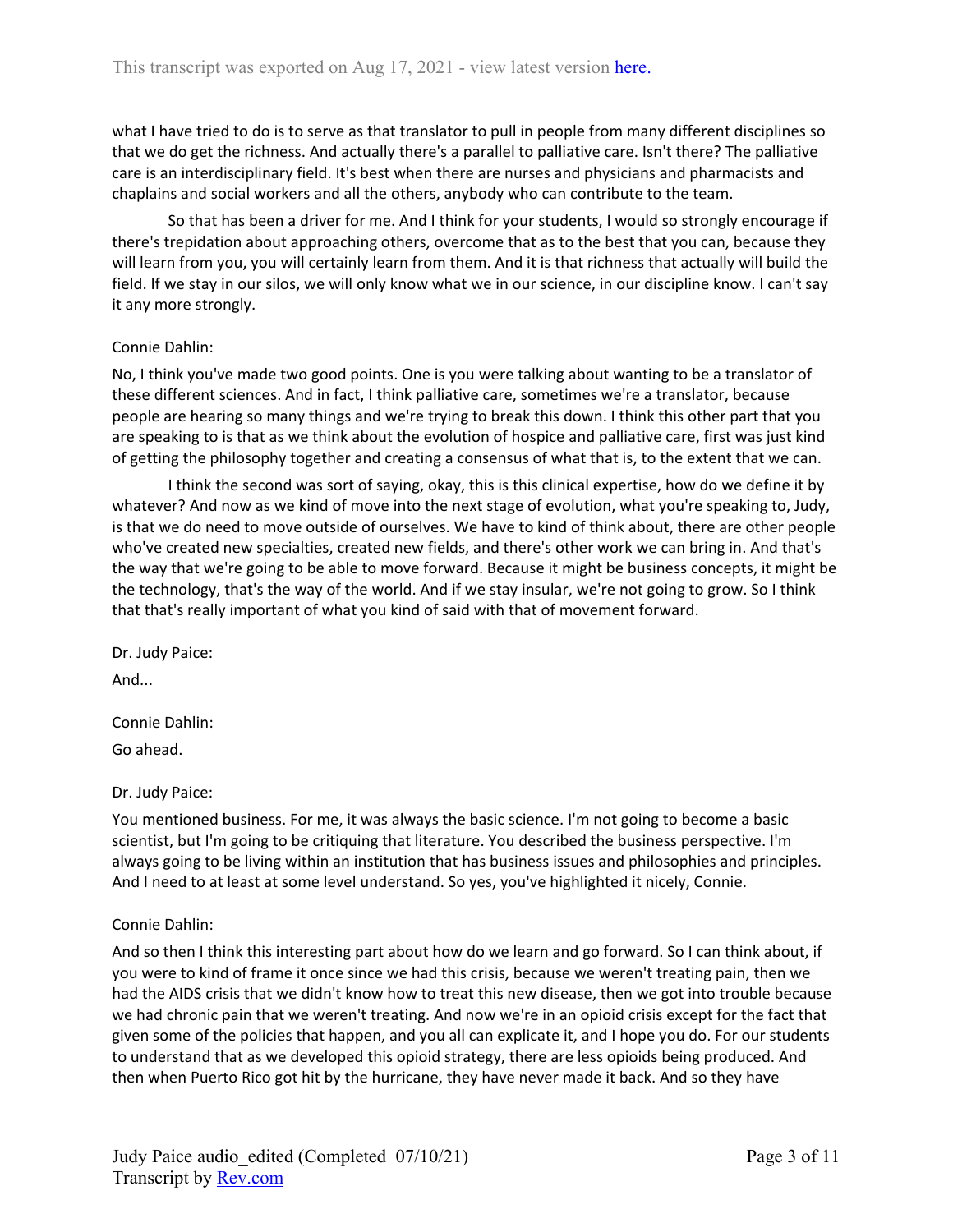what I have tried to do is to serve as that translator to pull in people from many different disciplines so that we do get the richness. And actually there's a parallel to palliative care. Isn't there? The palliative care is an interdisciplinary field. It's best when there are nurses and physicians and pharmacists and chaplains and social workers and all the others, anybody who can contribute to the team.

So that has been a driver for me. And I think for your students, I would so strongly encourage if there's trepidation about approaching others, overcome that as to the best that you can, because they will learn from you, you will certainly learn from them. And it is that richness that actually will build the field. If we stay in our silos, we will only know what we in our science, in our discipline know. I can't say it any more strongly.

#### Connie Dahlin:

No, I think you've made two good points. One is you were talking about wanting to be a translator of these different sciences. And in fact, I think palliative care, sometimes we're a translator, because people are hearing so many things and we're trying to break this down. I think this other part that you are speaking to is that as we think about the evolution of hospice and palliative care, first was just kind of getting the philosophy together and creating a consensus of what that is, to the extent that we can.

I think the second was sort of saying, okay, this is this clinical expertise, how do we define it by whatever? And now as we kind of move into the next stage of evolution, what you're speaking to, Judy, is that we do need to move outside of ourselves. We have to kind of think about, there are other people who've created new specialties, created new fields, and there's other work we can bring in. And that's the way that we're going to be able to move forward. Because it might be business concepts, it might be the technology, that's the way of the world. And if we stay insular, we're not going to grow. So I think that that's really important of what you kind of said with that of movement forward.

Dr. Judy Paice:

And...

Connie Dahlin: Go ahead.

Dr. Judy Paice:

You mentioned business. For me, it was always the basic science. I'm not going to become a basic scientist, but I'm going to be critiquing that literature. You described the business perspective. I'm always going to be living within an institution that has business issues and philosophies and principles. And I need to at least at some level understand. So yes, you've highlighted it nicely, Connie.

#### Connie Dahlin:

And so then I think this interesting part about how do we learn and go forward. So I can think about, if you were to kind of frame it once since we had this crisis, because we weren't treating pain, then we had the AIDS crisis that we didn't know how to treat this new disease, then we got into trouble because we had chronic pain that we weren't treating. And now we're in an opioid crisis except for the fact that given some of the policies that happen, and you all can explicate it, and I hope you do. For our students to understand that as we developed this opioid strategy, there are less opioids being produced. And then when Puerto Rico got hit by the hurricane, they have never made it back. And so they have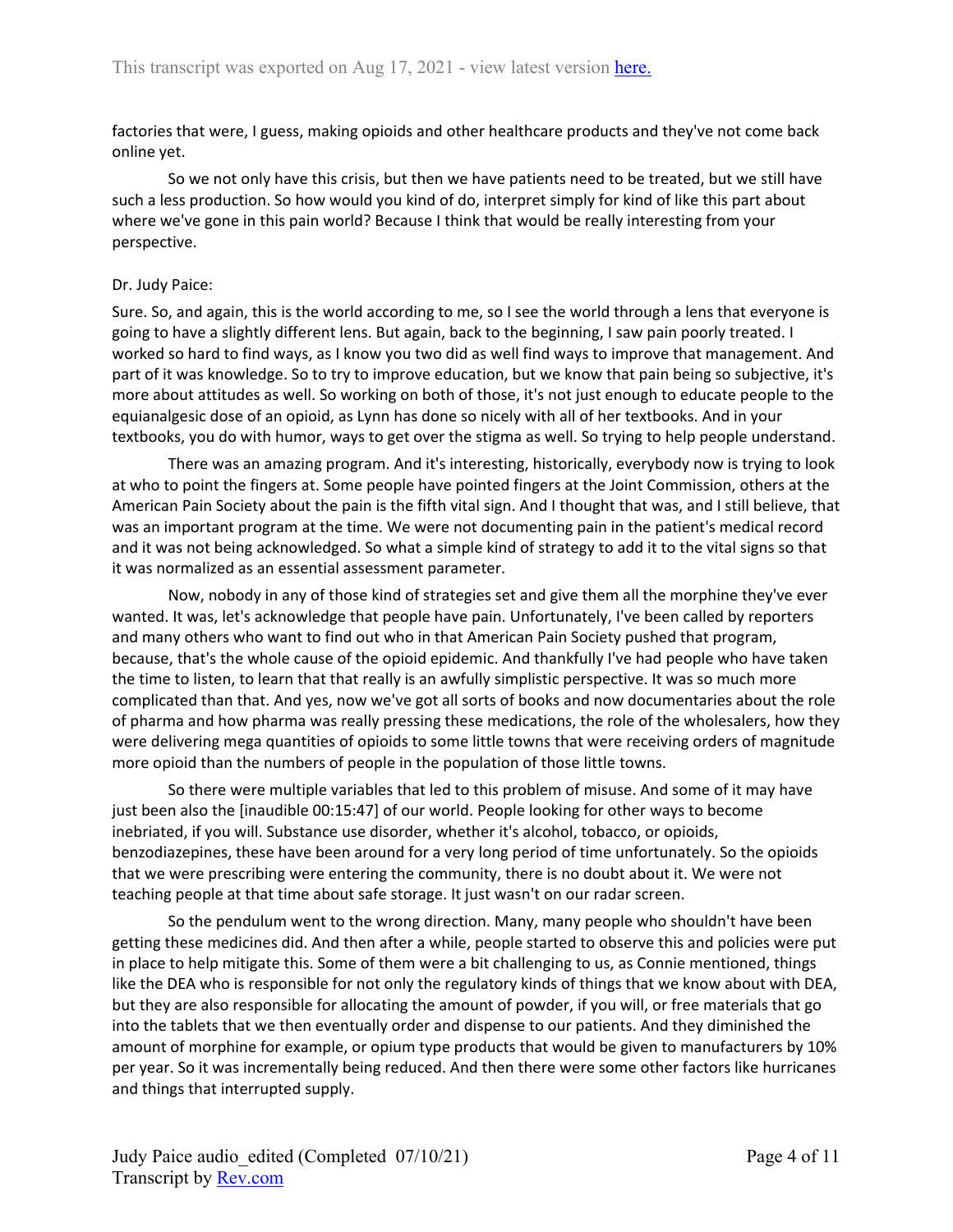factories that were, I guess, making opioids and other healthcare products and they've not come back online yet.

So we not only have this crisis, but then we have patients need to be treated, but we still have such a less production. So how would you kind of do, interpret simply for kind of like this part about where we've gone in this pain world? Because I think that would be really interesting from your perspective.

#### Dr. Judy Paice:

Sure. So, and again, this is the world according to me, so I see the world through a lens that everyone is going to have a slightly different lens. But again, back to the beginning, I saw pain poorly treated. I worked so hard to find ways, as I know you two did as well find ways to improve that management. And part of it was knowledge. So to try to improve education, but we know that pain being so subjective, it's more about attitudes as well. So working on both of those, it's not just enough to educate people to the equianalgesic dose of an opioid, as Lynn has done so nicely with all of her textbooks. And in your textbooks, you do with humor, ways to get over the stigma as well. So trying to help people understand.

There was an amazing program. And it's interesting, historically, everybody now is trying to look at who to point the fingers at. Some people have pointed fingers at the Joint Commission, others at the American Pain Society about the pain is the fifth vital sign. And I thought that was, and I still believe, that was an important program at the time. We were not documenting pain in the patient's medical record and it was not being acknowledged. So what a simple kind of strategy to add it to the vital signs so that it was normalized as an essential assessment parameter.

Now, nobody in any of those kind of strategies set and give them all the morphine they've ever wanted. It was, let's acknowledge that people have pain. Unfortunately, I've been called by reporters and many others who want to find out who in that American Pain Society pushed that program, because, that's the whole cause of the opioid epidemic. And thankfully I've had people who have taken the time to listen, to learn that that really is an awfully simplistic perspective. It was so much more complicated than that. And yes, now we've got all sorts of books and now documentaries about the role of pharma and how pharma was really pressing these medications, the role of the wholesalers, how they were delivering mega quantities of opioids to some little towns that were receiving orders of magnitude more opioid than the numbers of people in the population of those little towns.

So there were multiple variables that led to this problem of misuse. And some of it may have just been also the [inaudible 00:15:47] of our world. People looking for other ways to become inebriated, if you will. Substance use disorder, whether it's alcohol, tobacco, or opioids, benzodiazepines, these have been around for a very long period of time unfortunately. So the opioids that we were prescribing were entering the community, there is no doubt about it. We were not teaching people at that time about safe storage. It just wasn't on our radar screen.

So the pendulum went to the wrong direction. Many, many people who shouldn't have been getting these medicines did. And then after a while, people started to observe this and policies were put in place to help mitigate this. Some of them were a bit challenging to us, as Connie mentioned, things like the DEA who is responsible for not only the regulatory kinds of things that we know about with DEA, but they are also responsible for allocating the amount of powder, if you will, or free materials that go into the tablets that we then eventually order and dispense to our patients. And they diminished the amount of morphine for example, or opium type products that would be given to manufacturers by 10% per year. So it was incrementally being reduced. And then there were some other factors like hurricanes and things that interrupted supply.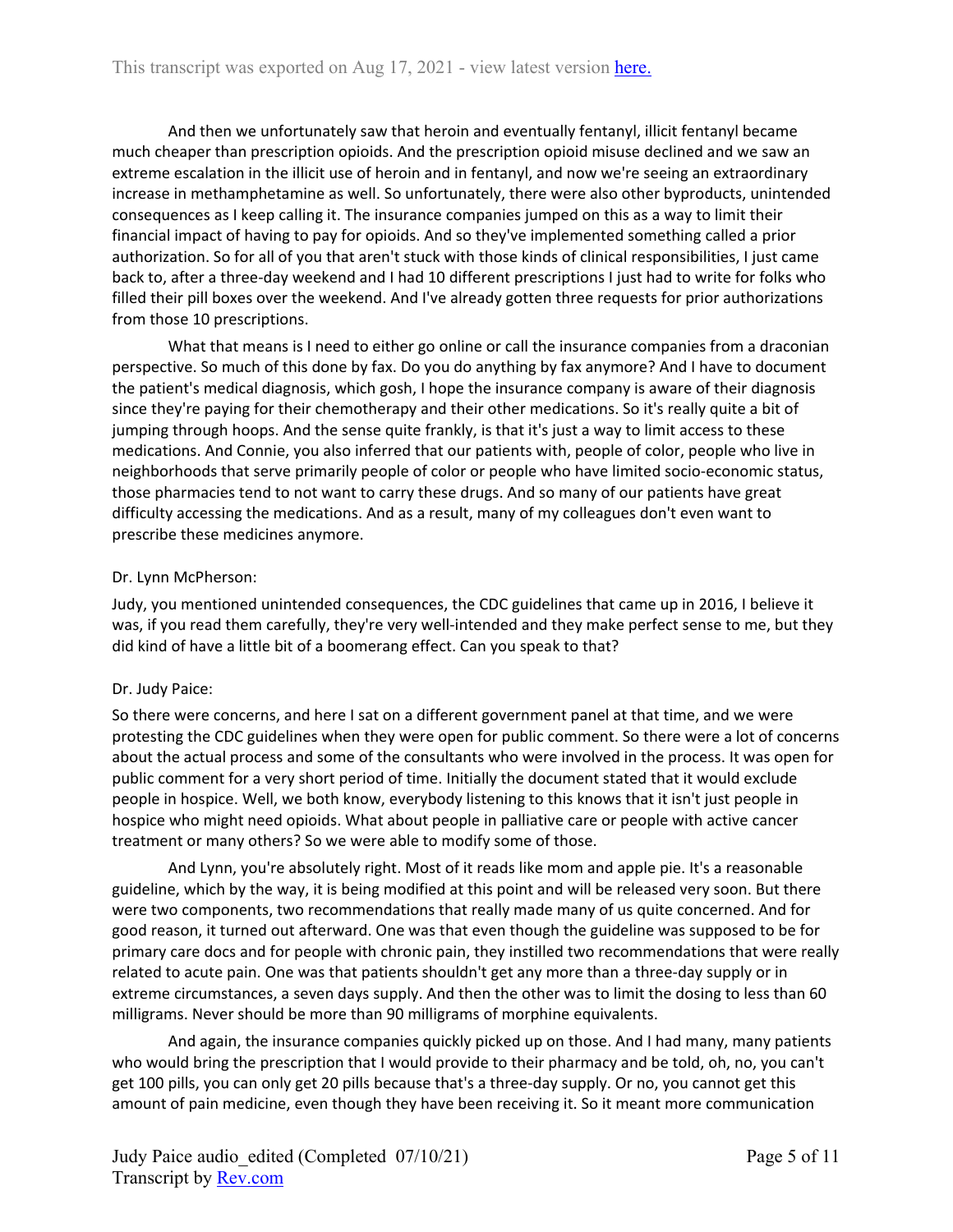And then we unfortunately saw that heroin and eventually fentanyl, illicit fentanyl became much cheaper than prescription opioids. And the prescription opioid misuse declined and we saw an extreme escalation in the illicit use of heroin and in fentanyl, and now we're seeing an extraordinary increase in methamphetamine as well. So unfortunately, there were also other byproducts, unintended consequences as I keep calling it. The insurance companies jumped on this as a way to limit their financial impact of having to pay for opioids. And so they've implemented something called a prior authorization. So for all of you that aren't stuck with those kinds of clinical responsibilities, I just came back to, after a three-day weekend and I had 10 different prescriptions I just had to write for folks who filled their pill boxes over the weekend. And I've already gotten three requests for prior authorizations from those 10 prescriptions.

What that means is I need to either go online or call the insurance companies from a draconian perspective. So much of this done by fax. Do you do anything by fax anymore? And I have to document the patient's medical diagnosis, which gosh, I hope the insurance company is aware of their diagnosis since they're paying for their chemotherapy and their other medications. So it's really quite a bit of jumping through hoops. And the sense quite frankly, is that it's just a way to limit access to these medications. And Connie, you also inferred that our patients with, people of color, people who live in neighborhoods that serve primarily people of color or people who have limited socio-economic status, those pharmacies tend to not want to carry these drugs. And so many of our patients have great difficulty accessing the medications. And as a result, many of my colleagues don't even want to prescribe these medicines anymore.

#### Dr. Lynn McPherson:

Judy, you mentioned unintended consequences, the CDC guidelines that came up in 2016, I believe it was, if you read them carefully, they're very well-intended and they make perfect sense to me, but they did kind of have a little bit of a boomerang effect. Can you speak to that?

#### Dr. Judy Paice:

So there were concerns, and here I sat on a different government panel at that time, and we were protesting the CDC guidelines when they were open for public comment. So there were a lot of concerns about the actual process and some of the consultants who were involved in the process. It was open for public comment for a very short period of time. Initially the document stated that it would exclude people in hospice. Well, we both know, everybody listening to this knows that it isn't just people in hospice who might need opioids. What about people in palliative care or people with active cancer treatment or many others? So we were able to modify some of those.

And Lynn, you're absolutely right. Most of it reads like mom and apple pie. It's a reasonable guideline, which by the way, it is being modified at this point and will be released very soon. But there were two components, two recommendations that really made many of us quite concerned. And for good reason, it turned out afterward. One was that even though the guideline was supposed to be for primary care docs and for people with chronic pain, they instilled two recommendations that were really related to acute pain. One was that patients shouldn't get any more than a three-day supply or in extreme circumstances, a seven days supply. And then the other was to limit the dosing to less than 60 milligrams. Never should be more than 90 milligrams of morphine equivalents.

And again, the insurance companies quickly picked up on those. And I had many, many patients who would bring the prescription that I would provide to their pharmacy and be told, oh, no, you can't get 100 pills, you can only get 20 pills because that's a three-day supply. Or no, you cannot get this amount of pain medicine, even though they have been receiving it. So it meant more communication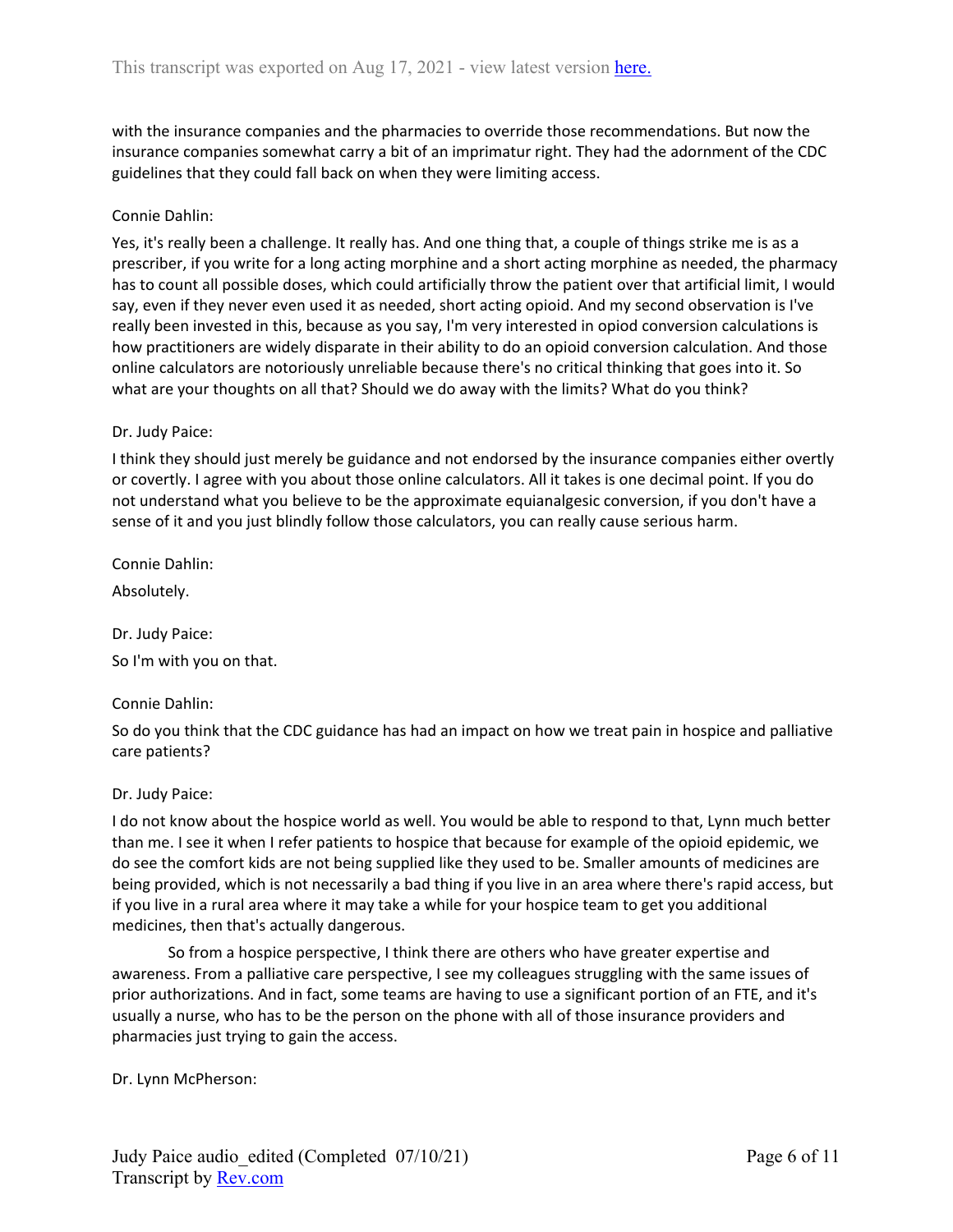with the insurance companies and the pharmacies to override those recommendations. But now the insurance companies somewhat carry a bit of an imprimatur right. They had the adornment of the CDC guidelines that they could fall back on when they were limiting access.

#### Connie Dahlin:

Yes, it's really been a challenge. It really has. And one thing that, a couple of things strike me is as a prescriber, if you write for a long acting morphine and a short acting morphine as needed, the pharmacy has to count all possible doses, which could artificially throw the patient over that artificial limit, I would say, even if they never even used it as needed, short acting opioid. And my second observation is I've really been invested in this, because as you say, I'm very interested in opiod conversion calculations is how practitioners are widely disparate in their ability to do an opioid conversion calculation. And those online calculators are notoriously unreliable because there's no critical thinking that goes into it. So what are your thoughts on all that? Should we do away with the limits? What do you think?

#### Dr. Judy Paice:

I think they should just merely be guidance and not endorsed by the insurance companies either overtly or covertly. I agree with you about those online calculators. All it takes is one decimal point. If you do not understand what you believe to be the approximate equianalgesic conversion, if you don't have a sense of it and you just blindly follow those calculators, you can really cause serious harm.

Connie Dahlin:

Absolutely.

Dr. Judy Paice: So I'm with you on that.

#### Connie Dahlin:

So do you think that the CDC guidance has had an impact on how we treat pain in hospice and palliative care patients?

#### Dr. Judy Paice:

I do not know about the hospice world as well. You would be able to respond to that, Lynn much better than me. I see it when I refer patients to hospice that because for example of the opioid epidemic, we do see the comfort kids are not being supplied like they used to be. Smaller amounts of medicines are being provided, which is not necessarily a bad thing if you live in an area where there's rapid access, but if you live in a rural area where it may take a while for your hospice team to get you additional medicines, then that's actually dangerous.

So from a hospice perspective, I think there are others who have greater expertise and awareness. From a palliative care perspective, I see my colleagues struggling with the same issues of prior authorizations. And in fact, some teams are having to use a significant portion of an FTE, and it's usually a nurse, who has to be the person on the phone with all of those insurance providers and pharmacies just trying to gain the access.

Dr. Lynn McPherson: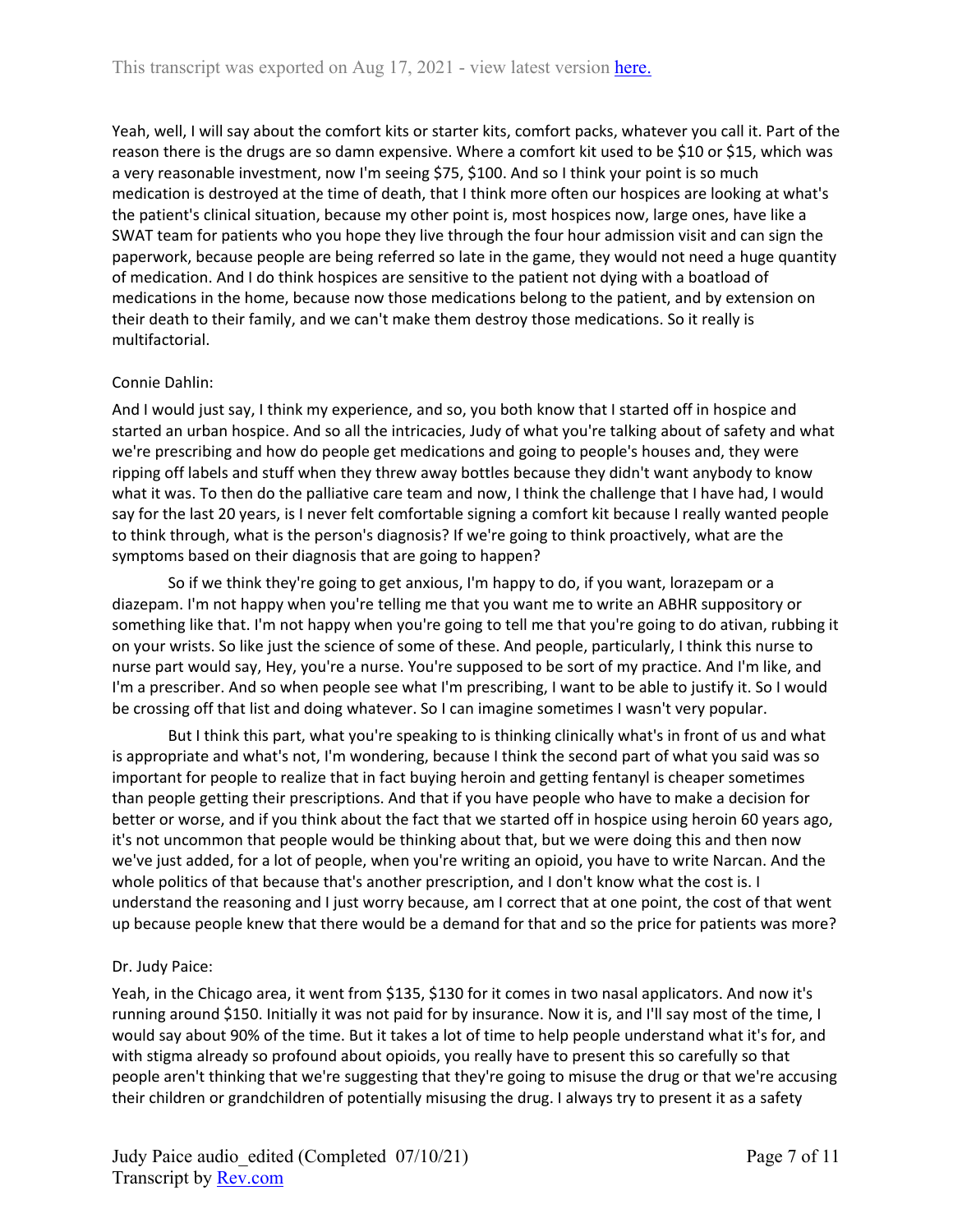Yeah, well, I will say about the comfort kits or starter kits, comfort packs, whatever you call it. Part of the reason there is the drugs are so damn expensive. Where a comfort kit used to be \$10 or \$15, which was a very reasonable investment, now I'm seeing \$75, \$100. And so I think your point is so much medication is destroyed at the time of death, that I think more often our hospices are looking at what's the patient's clinical situation, because my other point is, most hospices now, large ones, have like a SWAT team for patients who you hope they live through the four hour admission visit and can sign the paperwork, because people are being referred so late in the game, they would not need a huge quantity of medication. And I do think hospices are sensitive to the patient not dying with a boatload of medications in the home, because now those medications belong to the patient, and by extension on their death to their family, and we can't make them destroy those medications. So it really is multifactorial.

## Connie Dahlin:

And I would just say, I think my experience, and so, you both know that I started off in hospice and started an urban hospice. And so all the intricacies, Judy of what you're talking about of safety and what we're prescribing and how do people get medications and going to people's houses and, they were ripping off labels and stuff when they threw away bottles because they didn't want anybody to know what it was. To then do the palliative care team and now, I think the challenge that I have had, I would say for the last 20 years, is I never felt comfortable signing a comfort kit because I really wanted people to think through, what is the person's diagnosis? If we're going to think proactively, what are the symptoms based on their diagnosis that are going to happen?

So if we think they're going to get anxious, I'm happy to do, if you want, lorazepam or a diazepam. I'm not happy when you're telling me that you want me to write an ABHR suppository or something like that. I'm not happy when you're going to tell me that you're going to do ativan, rubbing it on your wrists. So like just the science of some of these. And people, particularly, I think this nurse to nurse part would say, Hey, you're a nurse. You're supposed to be sort of my practice. And I'm like, and I'm a prescriber. And so when people see what I'm prescribing, I want to be able to justify it. So I would be crossing off that list and doing whatever. So I can imagine sometimes I wasn't very popular.

But I think this part, what you're speaking to is thinking clinically what's in front of us and what is appropriate and what's not, I'm wondering, because I think the second part of what you said was so important for people to realize that in fact buying heroin and getting fentanyl is cheaper sometimes than people getting their prescriptions. And that if you have people who have to make a decision for better or worse, and if you think about the fact that we started off in hospice using heroin 60 years ago, it's not uncommon that people would be thinking about that, but we were doing this and then now we've just added, for a lot of people, when you're writing an opioid, you have to write Narcan. And the whole politics of that because that's another prescription, and I don't know what the cost is. I understand the reasoning and I just worry because, am I correct that at one point, the cost of that went up because people knew that there would be a demand for that and so the price for patients was more?

# Dr. Judy Paice:

Yeah, in the Chicago area, it went from \$135, \$130 for it comes in two nasal applicators. And now it's running around \$150. Initially it was not paid for by insurance. Now it is, and I'll say most of the time, I would say about 90% of the time. But it takes a lot of time to help people understand what it's for, and with stigma already so profound about opioids, you really have to present this so carefully so that people aren't thinking that we're suggesting that they're going to misuse the drug or that we're accusing their children or grandchildren of potentially misusing the drug. I always try to present it as a safety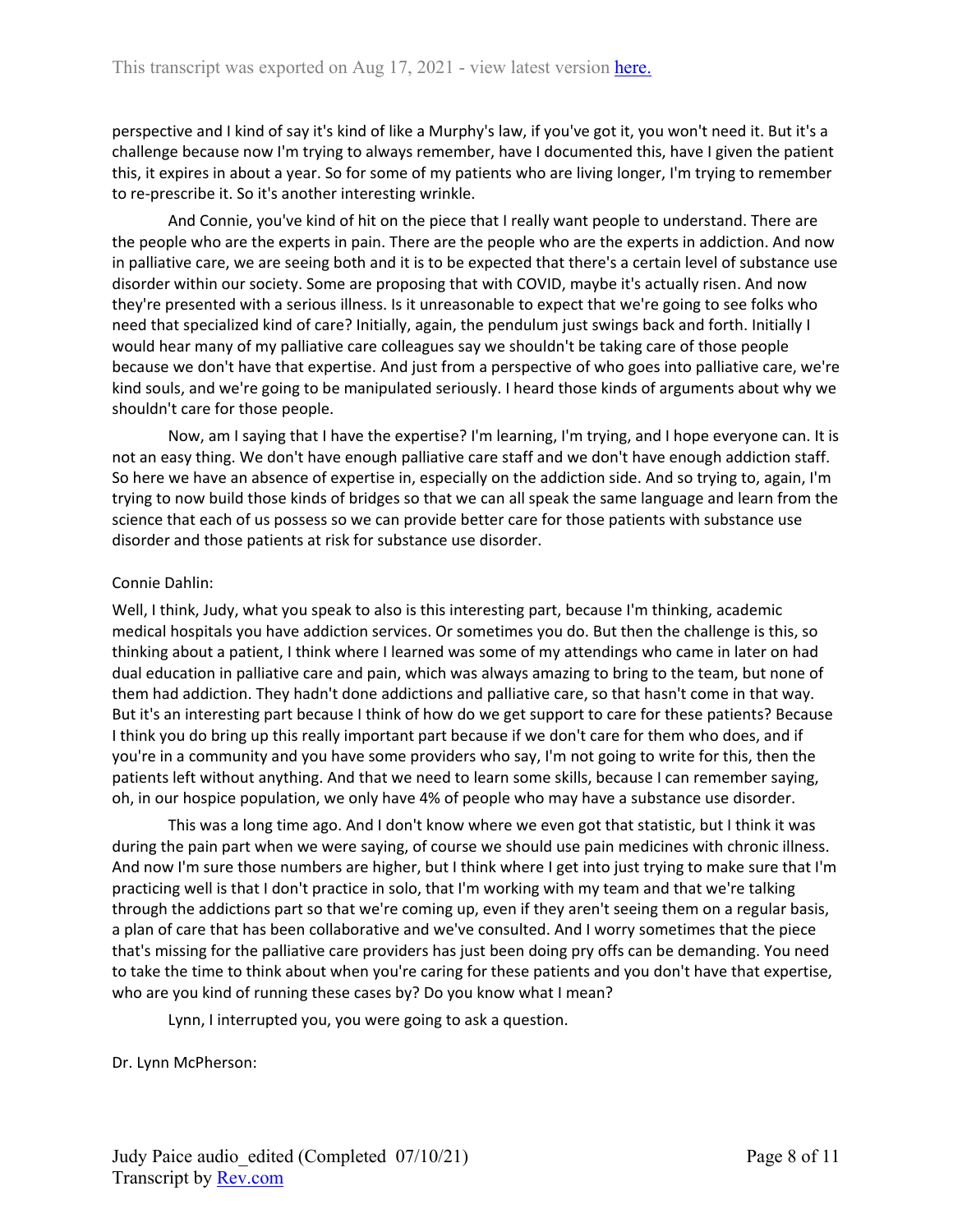perspective and I kind of say it's kind of like a Murphy's law, if you've got it, you won't need it. But it's a challenge because now I'm trying to always remember, have I documented this, have I given the patient this, it expires in about a year. So for some of my patients who are living longer, I'm trying to remember to re-prescribe it. So it's another interesting wrinkle.

And Connie, you've kind of hit on the piece that I really want people to understand. There are the people who are the experts in pain. There are the people who are the experts in addiction. And now in palliative care, we are seeing both and it is to be expected that there's a certain level of substance use disorder within our society. Some are proposing that with COVID, maybe it's actually risen. And now they're presented with a serious illness. Is it unreasonable to expect that we're going to see folks who need that specialized kind of care? Initially, again, the pendulum just swings back and forth. Initially I would hear many of my palliative care colleagues say we shouldn't be taking care of those people because we don't have that expertise. And just from a perspective of who goes into palliative care, we're kind souls, and we're going to be manipulated seriously. I heard those kinds of arguments about why we shouldn't care for those people.

Now, am I saying that I have the expertise? I'm learning, I'm trying, and I hope everyone can. It is not an easy thing. We don't have enough palliative care staff and we don't have enough addiction staff. So here we have an absence of expertise in, especially on the addiction side. And so trying to, again, I'm trying to now build those kinds of bridges so that we can all speak the same language and learn from the science that each of us possess so we can provide better care for those patients with substance use disorder and those patients at risk for substance use disorder.

#### Connie Dahlin:

Well, I think, Judy, what you speak to also is this interesting part, because I'm thinking, academic medical hospitals you have addiction services. Or sometimes you do. But then the challenge is this, so thinking about a patient, I think where I learned was some of my attendings who came in later on had dual education in palliative care and pain, which was always amazing to bring to the team, but none of them had addiction. They hadn't done addictions and palliative care, so that hasn't come in that way. But it's an interesting part because I think of how do we get support to care for these patients? Because I think you do bring up this really important part because if we don't care for them who does, and if you're in a community and you have some providers who say, I'm not going to write for this, then the patients left without anything. And that we need to learn some skills, because I can remember saying, oh, in our hospice population, we only have 4% of people who may have a substance use disorder.

This was a long time ago. And I don't know where we even got that statistic, but I think it was during the pain part when we were saying, of course we should use pain medicines with chronic illness. And now I'm sure those numbers are higher, but I think where I get into just trying to make sure that I'm practicing well is that I don't practice in solo, that I'm working with my team and that we're talking through the addictions part so that we're coming up, even if they aren't seeing them on a regular basis, a plan of care that has been collaborative and we've consulted. And I worry sometimes that the piece that's missing for the palliative care providers has just been doing pry offs can be demanding. You need to take the time to think about when you're caring for these patients and you don't have that expertise, who are you kind of running these cases by? Do you know what I mean?

Lynn, I interrupted you, you were going to ask a question.

Dr. Lynn McPherson: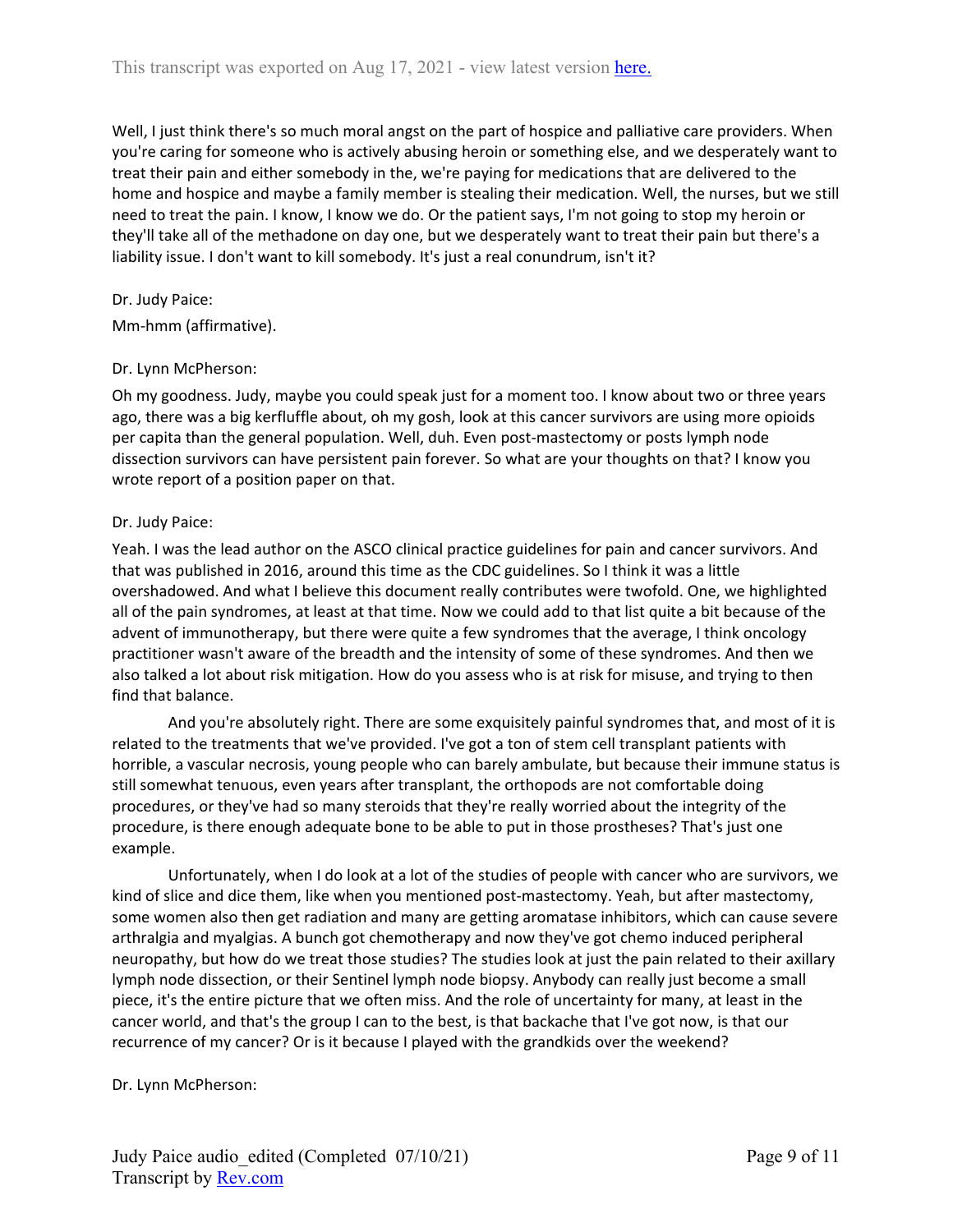Well, I just think there's so much moral angst on the part of hospice and palliative care providers. When you're caring for someone who is actively abusing heroin or something else, and we desperately want to treat their pain and either somebody in the, we're paying for medications that are delivered to the home and hospice and maybe a family member is stealing their medication. Well, the nurses, but we still need to treat the pain. I know, I know we do. Or the patient says, I'm not going to stop my heroin or they'll take all of the methadone on day one, but we desperately want to treat their pain but there's a liability issue. I don't want to kill somebody. It's just a real conundrum, isn't it?

## Dr. Judy Paice:

Mm-hmm (affirmative).

#### Dr. Lynn McPherson:

Oh my goodness. Judy, maybe you could speak just for a moment too. I know about two or three years ago, there was a big kerfluffle about, oh my gosh, look at this cancer survivors are using more opioids per capita than the general population. Well, duh. Even post-mastectomy or posts lymph node dissection survivors can have persistent pain forever. So what are your thoughts on that? I know you wrote report of a position paper on that.

## Dr. Judy Paice:

Yeah. I was the lead author on the ASCO clinical practice guidelines for pain and cancer survivors. And that was published in 2016, around this time as the CDC guidelines. So I think it was a little overshadowed. And what I believe this document really contributes were twofold. One, we highlighted all of the pain syndromes, at least at that time. Now we could add to that list quite a bit because of the advent of immunotherapy, but there were quite a few syndromes that the average, I think oncology practitioner wasn't aware of the breadth and the intensity of some of these syndromes. And then we also talked a lot about risk mitigation. How do you assess who is at risk for misuse, and trying to then find that balance.

And you're absolutely right. There are some exquisitely painful syndromes that, and most of it is related to the treatments that we've provided. I've got a ton of stem cell transplant patients with horrible, a vascular necrosis, young people who can barely ambulate, but because their immune status is still somewhat tenuous, even years after transplant, the orthopods are not comfortable doing procedures, or they've had so many steroids that they're really worried about the integrity of the procedure, is there enough adequate bone to be able to put in those prostheses? That's just one example.

Unfortunately, when I do look at a lot of the studies of people with cancer who are survivors, we kind of slice and dice them, like when you mentioned post-mastectomy. Yeah, but after mastectomy, some women also then get radiation and many are getting aromatase inhibitors, which can cause severe arthralgia and myalgias. A bunch got chemotherapy and now they've got chemo induced peripheral neuropathy, but how do we treat those studies? The studies look at just the pain related to their axillary lymph node dissection, or their Sentinel lymph node biopsy. Anybody can really just become a small piece, it's the entire picture that we often miss. And the role of uncertainty for many, at least in the cancer world, and that's the group I can to the best, is that backache that I've got now, is that our recurrence of my cancer? Or is it because I played with the grandkids over the weekend?

Dr. Lynn McPherson: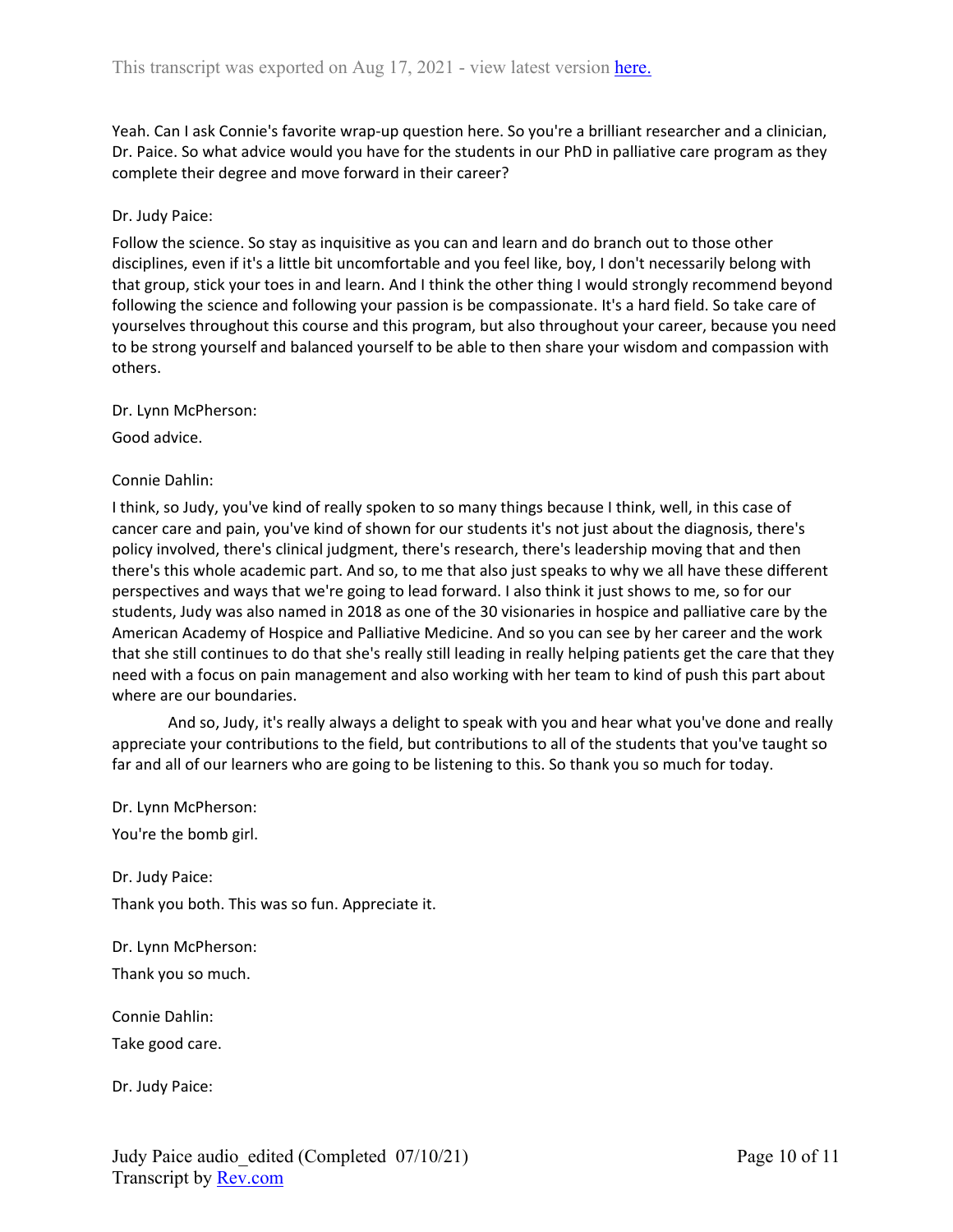Yeah. Can I ask Connie's favorite wrap-up question here. So you're a brilliant researcher and a clinician, Dr. Paice. So what advice would you have for the students in our PhD in palliative care program as they complete their degree and move forward in their career?

#### Dr. Judy Paice:

Follow the science. So stay as inquisitive as you can and learn and do branch out to those other disciplines, even if it's a little bit uncomfortable and you feel like, boy, I don't necessarily belong with that group, stick your toes in and learn. And I think the other thing I would strongly recommend beyond following the science and following your passion is be compassionate. It's a hard field. So take care of yourselves throughout this course and this program, but also throughout your career, because you need to be strong yourself and balanced yourself to be able to then share your wisdom and compassion with others.

Dr. Lynn McPherson:

Good advice.

#### Connie Dahlin:

I think, so Judy, you've kind of really spoken to so many things because I think, well, in this case of cancer care and pain, you've kind of shown for our students it's not just about the diagnosis, there's policy involved, there's clinical judgment, there's research, there's leadership moving that and then there's this whole academic part. And so, to me that also just speaks to why we all have these different perspectives and ways that we're going to lead forward. I also think it just shows to me, so for our students, Judy was also named in 2018 as one of the 30 visionaries in hospice and palliative care by the American Academy of Hospice and Palliative Medicine. And so you can see by her career and the work that she still continues to do that she's really still leading in really helping patients get the care that they need with a focus on pain management and also working with her team to kind of push this part about where are our boundaries.

And so, Judy, it's really always a delight to speak with you and hear what you've done and really appreciate your contributions to the field, but contributions to all of the students that you've taught so far and all of our learners who are going to be listening to this. So thank you so much for today.

Dr. Lynn McPherson:

You're the bomb girl.

Dr. Judy Paice: Thank you both. This was so fun. Appreciate it.

Dr. Lynn McPherson: Thank you so much.

Connie Dahlin: Take good care.

Dr. Judy Paice: